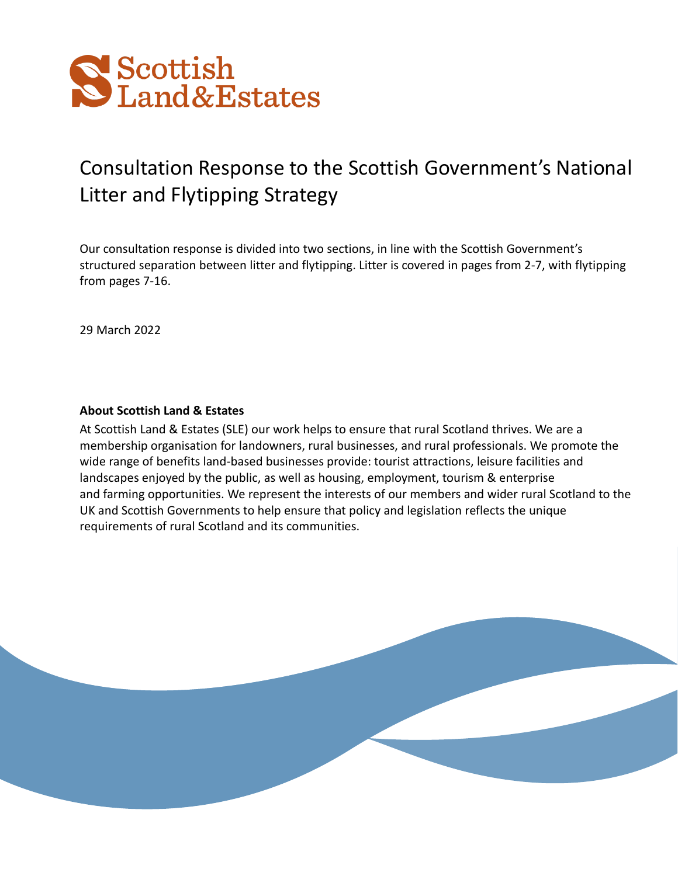

# Consultation Response to the Scottish Government's National Litter and Flytipping Strategy

Our consultation response is divided into two sections, in line with the Scottish Government's structured separation between litter and flytipping. Litter is covered in pages from 2-7, with flytipping from pages 7-16.

29 March 2022

## **About Scottish Land & Estates**

At Scottish Land & Estates (SLE) our work helps to ensure that rural Scotland thrives. We are a membership organisation for landowners, rural businesses, and rural professionals. We promote the wide range of benefits land-based businesses provide: tourist attractions, leisure facilities and landscapes enjoyed by the public, as well as housing, employment, tourism & enterprise and farming opportunities. We represent the interests of our members and wider rural Scotland to the UK and Scottish Governments to help ensure that policy and legislation reflects the unique requirements of rural Scotland and its communities.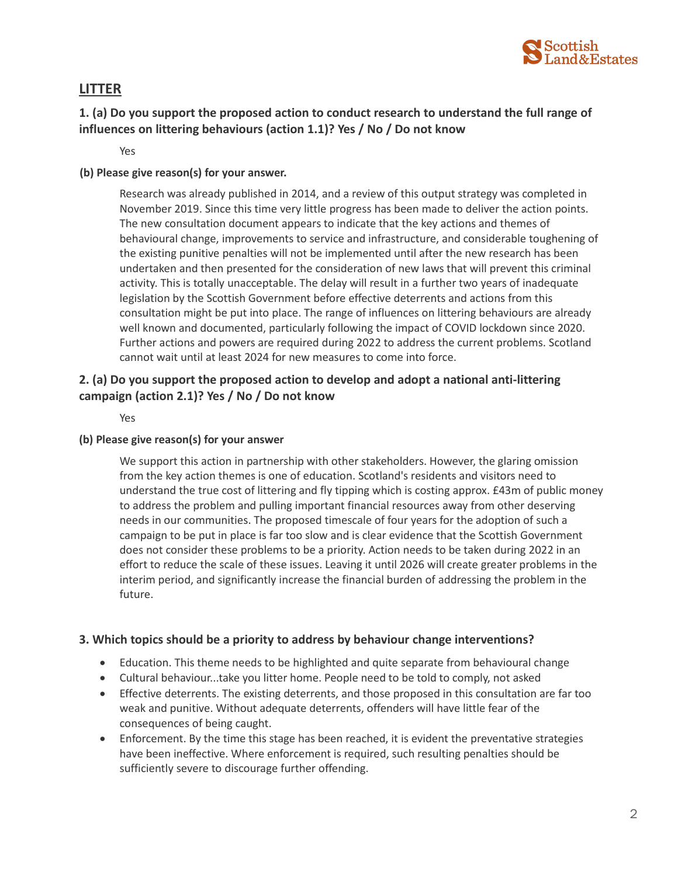

# **LITTER**

# **1. (a) Do you support the proposed action to conduct research to understand the full range of influences on littering behaviours (action 1.1)? Yes / No / Do not know**

Yes

## **(b) Please give reason(s) for your answer.**

Research was already published in 2014, and a review of this output strategy was completed in November 2019. Since this time very little progress has been made to deliver the action points. The new consultation document appears to indicate that the key actions and themes of behavioural change, improvements to service and infrastructure, and considerable toughening of the existing punitive penalties will not be implemented until after the new research has been undertaken and then presented for the consideration of new laws that will prevent this criminal activity. This is totally unacceptable. The delay will result in a further two years of inadequate legislation by the Scottish Government before effective deterrents and actions from this consultation might be put into place. The range of influences on littering behaviours are already well known and documented, particularly following the impact of COVID lockdown since 2020. Further actions and powers are required during 2022 to address the current problems. Scotland cannot wait until at least 2024 for new measures to come into force.

## **2. (a) Do you support the proposed action to develop and adopt a national anti-littering campaign (action 2.1)? Yes / No / Do not know**

Yes

#### **(b) Please give reason(s) for your answer**

We support this action in partnership with other stakeholders. However, the glaring omission from the key action themes is one of education. Scotland's residents and visitors need to understand the true cost of littering and fly tipping which is costing approx. £43m of public money to address the problem and pulling important financial resources away from other deserving needs in our communities. The proposed timescale of four years for the adoption of such a campaign to be put in place is far too slow and is clear evidence that the Scottish Government does not consider these problems to be a priority. Action needs to be taken during 2022 in an effort to reduce the scale of these issues. Leaving it until 2026 will create greater problems in the interim period, and significantly increase the financial burden of addressing the problem in the future.

## **3. Which topics should be a priority to address by behaviour change interventions?**

- Education. This theme needs to be highlighted and quite separate from behavioural change
- Cultural behaviour...take you litter home. People need to be told to comply, not asked
- Effective deterrents. The existing deterrents, and those proposed in this consultation are far too weak and punitive. Without adequate deterrents, offenders will have little fear of the consequences of being caught.
- Enforcement. By the time this stage has been reached, it is evident the preventative strategies have been ineffective. Where enforcement is required, such resulting penalties should be sufficiently severe to discourage further offending.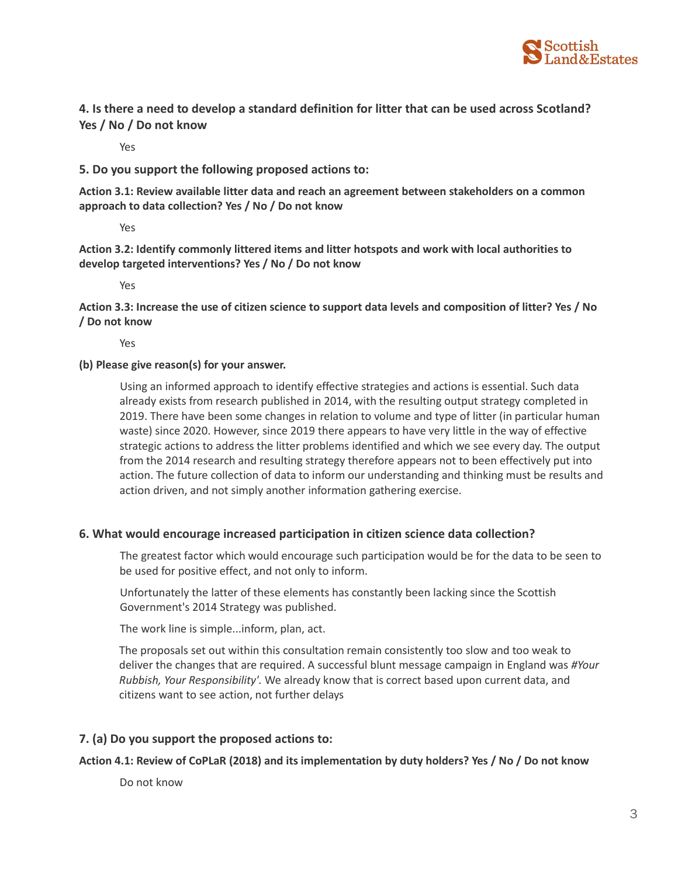

## **4. Is there a need to develop a standard definition for litter that can be used across Scotland? Yes / No / Do not know**

Yes

## **5. Do you support the following proposed actions to:**

**Action 3.1: Review available litter data and reach an agreement between stakeholders on a common approach to data collection? Yes / No / Do not know**

Yes

**Action 3.2: Identify commonly littered items and litter hotspots and work with local authorities to develop targeted interventions? Yes / No / Do not know**

Yes

**Action 3.3: Increase the use of citizen science to support data levels and composition of litter? Yes / No / Do not know**

Yes

## **(b) Please give reason(s) for your answer.**

Using an informed approach to identify effective strategies and actions is essential. Such data already exists from research published in 2014, with the resulting output strategy completed in 2019. There have been some changes in relation to volume and type of litter (in particular human waste) since 2020. However, since 2019 there appears to have very little in the way of effective strategic actions to address the litter problems identified and which we see every day. The output from the 2014 research and resulting strategy therefore appears not to been effectively put into action. The future collection of data to inform our understanding and thinking must be results and action driven, and not simply another information gathering exercise.

## **6. What would encourage increased participation in citizen science data collection?**

The greatest factor which would encourage such participation would be for the data to be seen to be used for positive effect, and not only to inform.

Unfortunately the latter of these elements has constantly been lacking since the Scottish Government's 2014 Strategy was published.

The work line is simple...inform, plan, act.

The proposals set out within this consultation remain consistently too slow and too weak to deliver the changes that are required. A successful blunt message campaign in England was *#Your Rubbish, Your Responsibility'.* We already know that is correct based upon current data, and citizens want to see action, not further delays

## **7. (a) Do you support the proposed actions to:**

## **Action 4.1: Review of CoPLaR (2018) and its implementation by duty holders? Yes / No / Do not know**

Do not know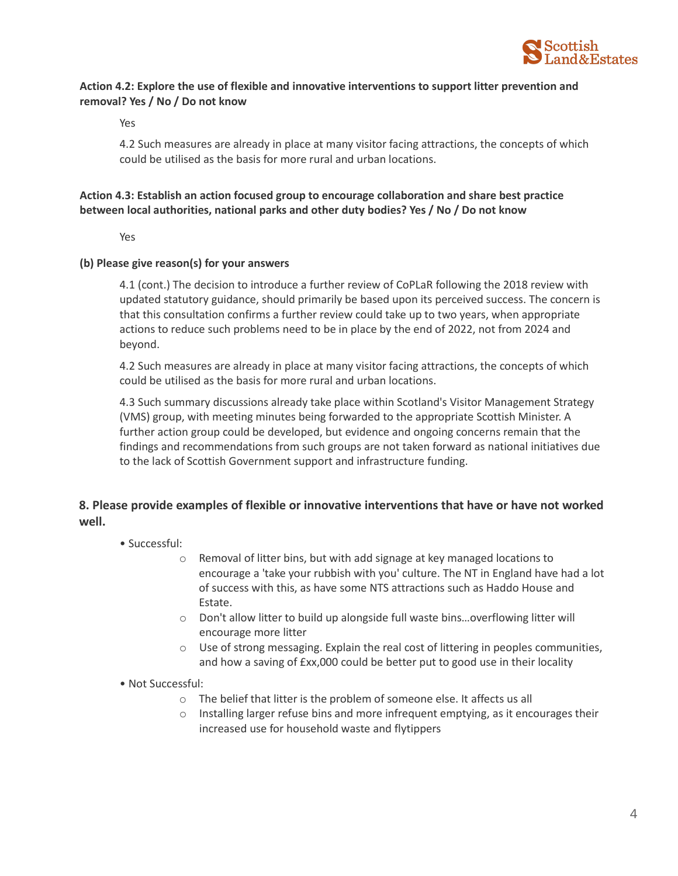

## **Action 4.2: Explore the use of flexible and innovative interventions to support litter prevention and removal? Yes / No / Do not know**

Yes

4.2 Such measures are already in place at many visitor facing attractions, the concepts of which could be utilised as the basis for more rural and urban locations.

## **Action 4.3: Establish an action focused group to encourage collaboration and share best practice between local authorities, national parks and other duty bodies? Yes / No / Do not know**

Yes

#### **(b) Please give reason(s) for your answers**

4.1 (cont.) The decision to introduce a further review of CoPLaR following the 2018 review with updated statutory guidance, should primarily be based upon its perceived success. The concern is that this consultation confirms a further review could take up to two years, when appropriate actions to reduce such problems need to be in place by the end of 2022, not from 2024 and beyond.

4.2 Such measures are already in place at many visitor facing attractions, the concepts of which could be utilised as the basis for more rural and urban locations.

4.3 Such summary discussions already take place within Scotland's Visitor Management Strategy (VMS) group, with meeting minutes being forwarded to the appropriate Scottish Minister. A further action group could be developed, but evidence and ongoing concerns remain that the findings and recommendations from such groups are not taken forward as national initiatives due to the lack of Scottish Government support and infrastructure funding.

## **8. Please provide examples of flexible or innovative interventions that have or have not worked well.**

- Successful:
	- o Removal of litter bins, but with add signage at key managed locations to encourage a 'take your rubbish with you' culture. The NT in England have had a lot of success with this, as have some NTS attractions such as Haddo House and Estate.
	- o Don't allow litter to build up alongside full waste bins…overflowing litter will encourage more litter
	- $\circ$  Use of strong messaging. Explain the real cost of littering in peoples communities, and how a saving of £xx,000 could be better put to good use in their locality
- Not Successful:
	- o The belief that litter is the problem of someone else. It affects us all
	- $\circ$  Installing larger refuse bins and more infrequent emptying, as it encourages their increased use for household waste and flytippers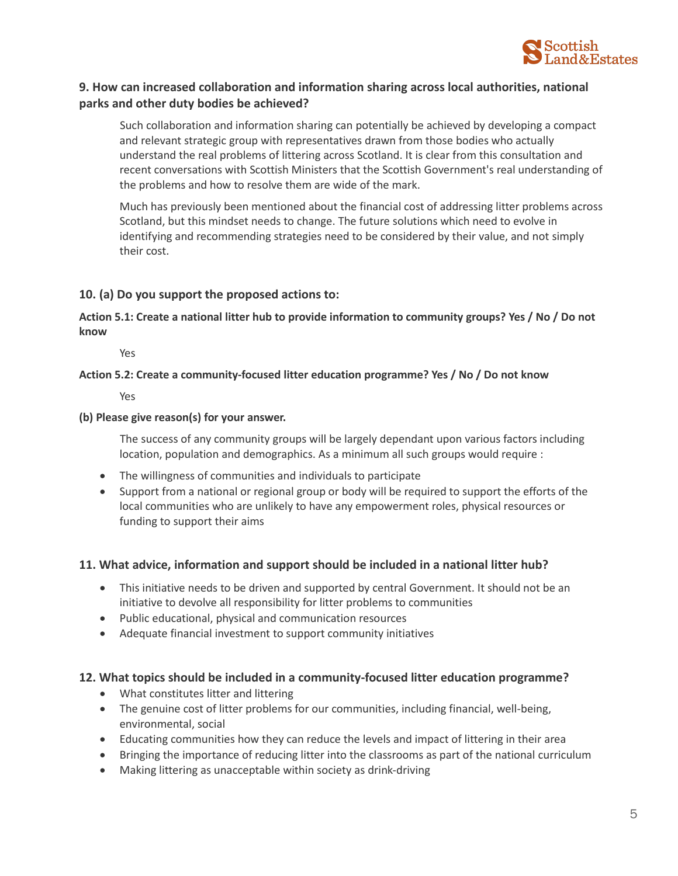

## **9. How can increased collaboration and information sharing across local authorities, national parks and other duty bodies be achieved?**

Such collaboration and information sharing can potentially be achieved by developing a compact and relevant strategic group with representatives drawn from those bodies who actually understand the real problems of littering across Scotland. It is clear from this consultation and recent conversations with Scottish Ministers that the Scottish Government's real understanding of the problems and how to resolve them are wide of the mark.

Much has previously been mentioned about the financial cost of addressing litter problems across Scotland, but this mindset needs to change. The future solutions which need to evolve in identifying and recommending strategies need to be considered by their value, and not simply their cost.

## **10. (a) Do you support the proposed actions to:**

**Action 5.1: Create a national litter hub to provide information to community groups? Yes / No / Do not know**

Yes

#### **Action 5.2: Create a community-focused litter education programme? Yes / No / Do not know**

Yes

#### **(b) Please give reason(s) for your answer.**

The success of any community groups will be largely dependant upon various factors including location, population and demographics. As a minimum all such groups would require :

- The willingness of communities and individuals to participate
- Support from a national or regional group or body will be required to support the efforts of the local communities who are unlikely to have any empowerment roles, physical resources or funding to support their aims

## **11. What advice, information and support should be included in a national litter hub?**

- This initiative needs to be driven and supported by central Government. It should not be an initiative to devolve all responsibility for litter problems to communities
- Public educational, physical and communication resources
- Adequate financial investment to support community initiatives

## **12. What topics should be included in a community-focused litter education programme?**

- What constitutes litter and littering
- The genuine cost of litter problems for our communities, including financial, well-being, environmental, social
- Educating communities how they can reduce the levels and impact of littering in their area
- Bringing the importance of reducing litter into the classrooms as part of the national curriculum
- Making littering as unacceptable within society as drink-driving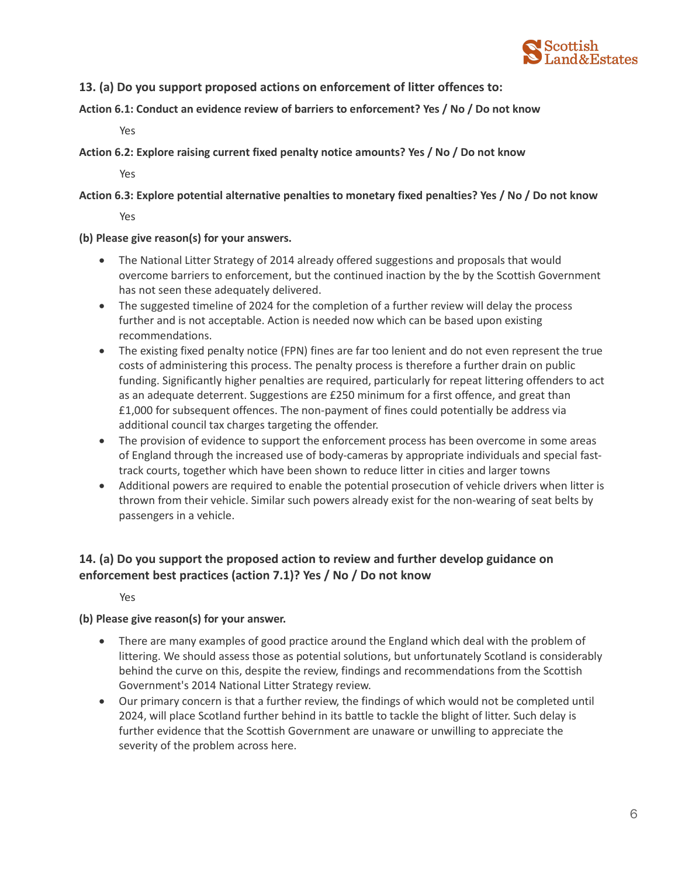

## **13. (a) Do you support proposed actions on enforcement of litter offences to:**

**Action 6.1: Conduct an evidence review of barriers to enforcement? Yes / No / Do not know**

Yes

**Action 6.2: Explore raising current fixed penalty notice amounts? Yes / No / Do not know**

Yes

**Action 6.3: Explore potential alternative penalties to monetary fixed penalties? Yes / No / Do not know**

Yes

**(b) Please give reason(s) for your answers.**

- The National Litter Strategy of 2014 already offered suggestions and proposals that would overcome barriers to enforcement, but the continued inaction by the by the Scottish Government has not seen these adequately delivered.
- The suggested timeline of 2024 for the completion of a further review will delay the process further and is not acceptable. Action is needed now which can be based upon existing recommendations.
- The existing fixed penalty notice (FPN) fines are far too lenient and do not even represent the true costs of administering this process. The penalty process is therefore a further drain on public funding. Significantly higher penalties are required, particularly for repeat littering offenders to act as an adequate deterrent. Suggestions are £250 minimum for a first offence, and great than £1,000 for subsequent offences. The non-payment of fines could potentially be address via additional council tax charges targeting the offender.
- The provision of evidence to support the enforcement process has been overcome in some areas of England through the increased use of body-cameras by appropriate individuals and special fasttrack courts, together which have been shown to reduce litter in cities and larger towns
- Additional powers are required to enable the potential prosecution of vehicle drivers when litter is thrown from their vehicle. Similar such powers already exist for the non-wearing of seat belts by passengers in a vehicle.

# **14. (a) Do you support the proposed action to review and further develop guidance on enforcement best practices (action 7.1)? Yes / No / Do not know**

Yes

## **(b) Please give reason(s) for your answer.**

- There are many examples of good practice around the England which deal with the problem of littering. We should assess those as potential solutions, but unfortunately Scotland is considerably behind the curve on this, despite the review, findings and recommendations from the Scottish Government's 2014 National Litter Strategy review.
- Our primary concern is that a further review, the findings of which would not be completed until 2024, will place Scotland further behind in its battle to tackle the blight of litter. Such delay is further evidence that the Scottish Government are unaware or unwilling to appreciate the severity of the problem across here.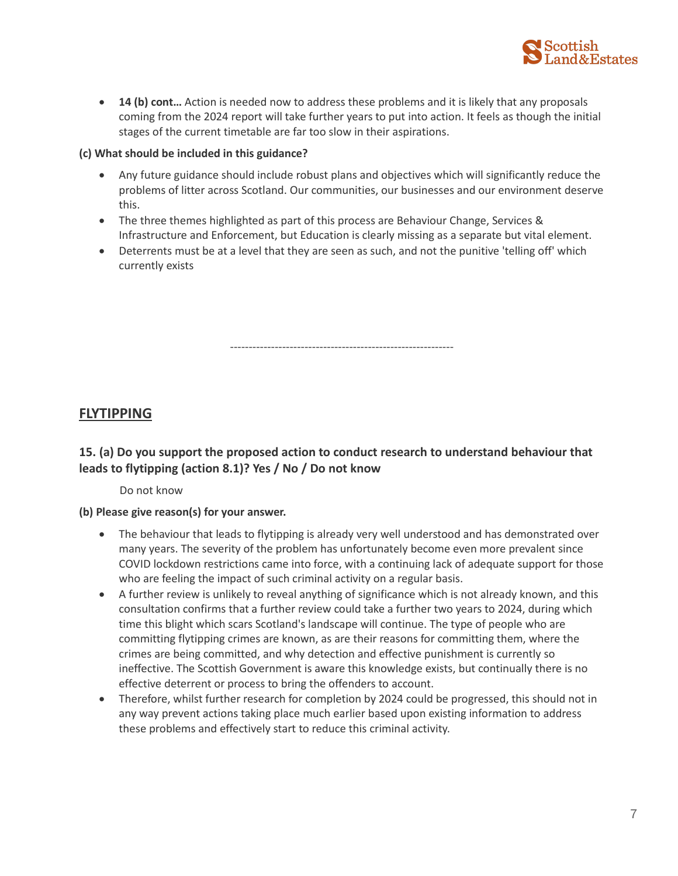

• **14 (b) cont…** Action is needed now to address these problems and it is likely that any proposals coming from the 2024 report will take further years to put into action. It feels as though the initial stages of the current timetable are far too slow in their aspirations.

## **(c) What should be included in this guidance?**

- Any future guidance should include robust plans and objectives which will significantly reduce the problems of litter across Scotland. Our communities, our businesses and our environment deserve this.
- The three themes highlighted as part of this process are Behaviour Change, Services & Infrastructure and Enforcement, but Education is clearly missing as a separate but vital element.
- Deterrents must be at a level that they are seen as such, and not the punitive 'telling off' which currently exists

------------------------------------------------------------

# **FLYTIPPING**

# **15. (a) Do you support the proposed action to conduct research to understand behaviour that leads to flytipping (action 8.1)? Yes / No / Do not know**

Do not know

## **(b) Please give reason(s) for your answer.**

- The behaviour that leads to flytipping is already very well understood and has demonstrated over many years. The severity of the problem has unfortunately become even more prevalent since COVID lockdown restrictions came into force, with a continuing lack of adequate support for those who are feeling the impact of such criminal activity on a regular basis.
- A further review is unlikely to reveal anything of significance which is not already known, and this consultation confirms that a further review could take a further two years to 2024, during which time this blight which scars Scotland's landscape will continue. The type of people who are committing flytipping crimes are known, as are their reasons for committing them, where the crimes are being committed, and why detection and effective punishment is currently so ineffective. The Scottish Government is aware this knowledge exists, but continually there is no effective deterrent or process to bring the offenders to account.
- Therefore, whilst further research for completion by 2024 could be progressed, this should not in any way prevent actions taking place much earlier based upon existing information to address these problems and effectively start to reduce this criminal activity.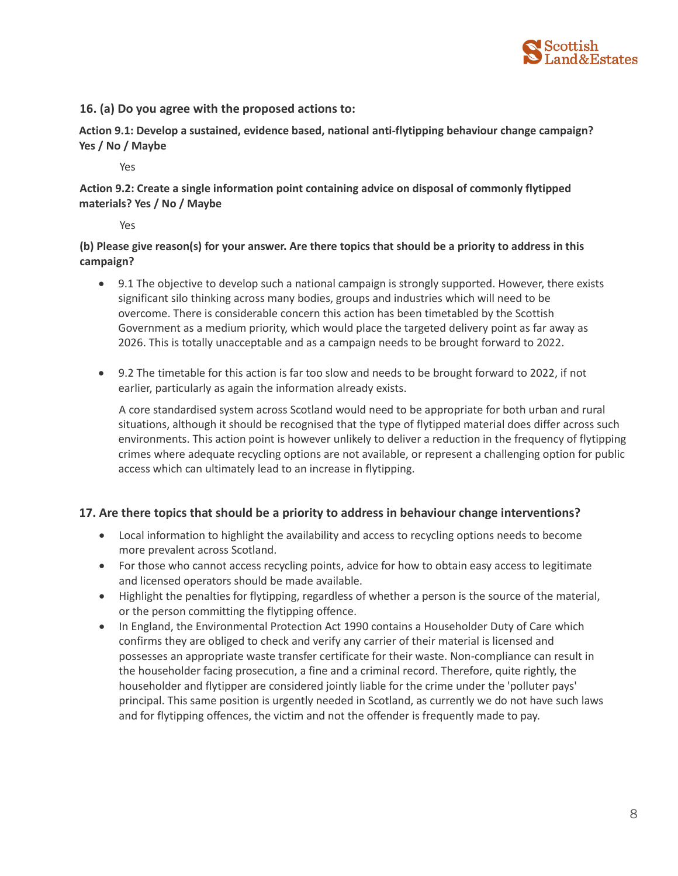

## **16. (a) Do you agree with the proposed actions to:**

**Action 9.1: Develop a sustained, evidence based, national anti-flytipping behaviour change campaign? Yes / No / Maybe**

Yes

**Action 9.2: Create a single information point containing advice on disposal of commonly flytipped materials? Yes / No / Maybe**

Yes

**(b) Please give reason(s) for your answer. Are there topics that should be a priority to address in this campaign?**

- 9.1 The objective to develop such a national campaign is strongly supported. However, there exists significant silo thinking across many bodies, groups and industries which will need to be overcome. There is considerable concern this action has been timetabled by the Scottish Government as a medium priority, which would place the targeted delivery point as far away as 2026. This is totally unacceptable and as a campaign needs to be brought forward to 2022.
- 9.2 The timetable for this action is far too slow and needs to be brought forward to 2022, if not earlier, particularly as again the information already exists.

A core standardised system across Scotland would need to be appropriate for both urban and rural situations, although it should be recognised that the type of flytipped material does differ across such environments. This action point is however unlikely to deliver a reduction in the frequency of flytipping crimes where adequate recycling options are not available, or represent a challenging option for public access which can ultimately lead to an increase in flytipping.

## **17. Are there topics that should be a priority to address in behaviour change interventions?**

- Local information to highlight the availability and access to recycling options needs to become more prevalent across Scotland.
- For those who cannot access recycling points, advice for how to obtain easy access to legitimate and licensed operators should be made available.
- Highlight the penalties for flytipping, regardless of whether a person is the source of the material, or the person committing the flytipping offence.
- In England, the Environmental Protection Act 1990 contains a Householder Duty of Care which confirms they are obliged to check and verify any carrier of their material is licensed and possesses an appropriate waste transfer certificate for their waste. Non-compliance can result in the householder facing prosecution, a fine and a criminal record. Therefore, quite rightly, the householder and flytipper are considered jointly liable for the crime under the 'polluter pays' principal. This same position is urgently needed in Scotland, as currently we do not have such laws and for flytipping offences, the victim and not the offender is frequently made to pay.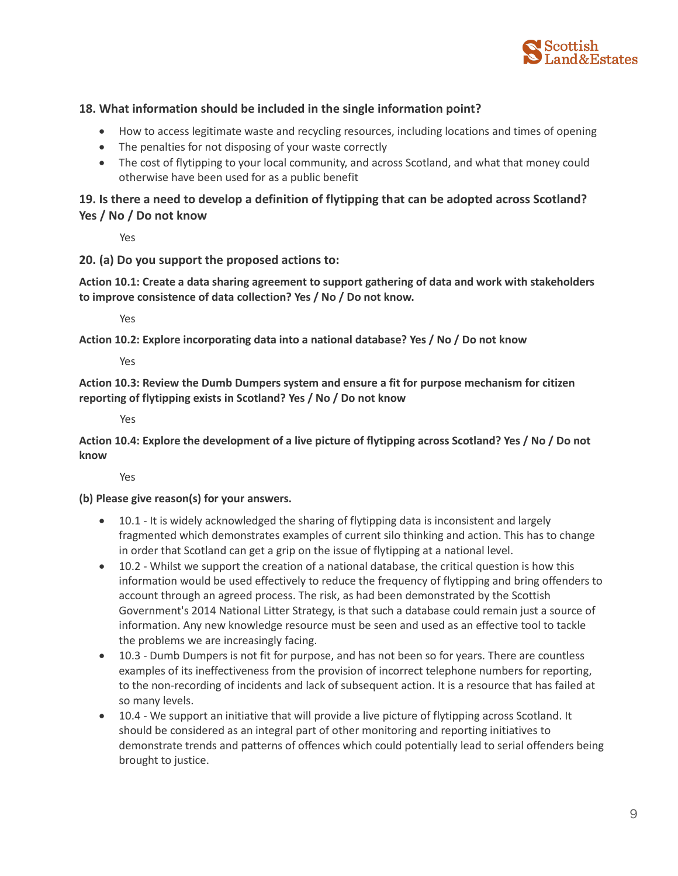

## **18. What information should be included in the single information point?**

- How to access legitimate waste and recycling resources, including locations and times of opening
- The penalties for not disposing of your waste correctly
- The cost of flytipping to your local community, and across Scotland, and what that money could otherwise have been used for as a public benefit

## **19. Is there a need to develop a definition of flytipping that can be adopted across Scotland? Yes / No / Do not know**

Yes

## **20. (a) Do you support the proposed actions to:**

**Action 10.1: Create a data sharing agreement to support gathering of data and work with stakeholders to improve consistence of data collection? Yes / No / Do not know.**

Yes

**Action 10.2: Explore incorporating data into a national database? Yes / No / Do not know**

Yes

**Action 10.3: Review the Dumb Dumpers system and ensure a fit for purpose mechanism for citizen reporting of flytipping exists in Scotland? Yes / No / Do not know**

Yes

**Action 10.4: Explore the development of a live picture of flytipping across Scotland? Yes / No / Do not know**

Yes

## **(b) Please give reason(s) for your answers.**

- 10.1 It is widely acknowledged the sharing of flytipping data is inconsistent and largely fragmented which demonstrates examples of current silo thinking and action. This has to change in order that Scotland can get a grip on the issue of flytipping at a national level.
- 10.2 Whilst we support the creation of a national database, the critical question is how this information would be used effectively to reduce the frequency of flytipping and bring offenders to account through an agreed process. The risk, as had been demonstrated by the Scottish Government's 2014 National Litter Strategy, is that such a database could remain just a source of information. Any new knowledge resource must be seen and used as an effective tool to tackle the problems we are increasingly facing.
- 10.3 Dumb Dumpers is not fit for purpose, and has not been so for years. There are countless examples of its ineffectiveness from the provision of incorrect telephone numbers for reporting, to the non-recording of incidents and lack of subsequent action. It is a resource that has failed at so many levels.
- 10.4 We support an initiative that will provide a live picture of flytipping across Scotland. It should be considered as an integral part of other monitoring and reporting initiatives to demonstrate trends and patterns of offences which could potentially lead to serial offenders being brought to justice.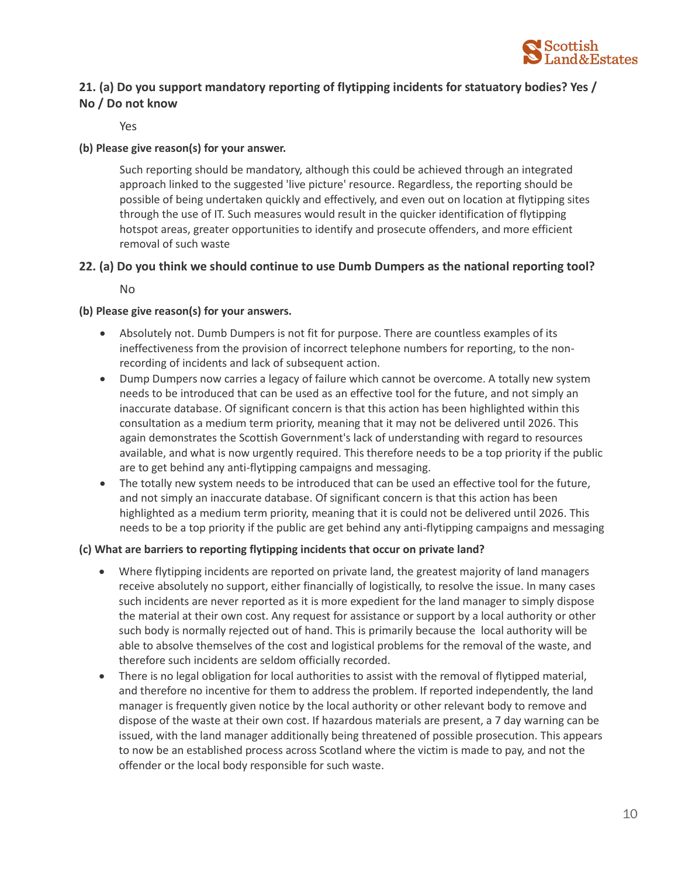

# **21. (a) Do you support mandatory reporting of flytipping incidents for statuatory bodies? Yes / No / Do not know**

Yes

## **(b) Please give reason(s) for your answer.**

Such reporting should be mandatory, although this could be achieved through an integrated approach linked to the suggested 'live picture' resource. Regardless, the reporting should be possible of being undertaken quickly and effectively, and even out on location at flytipping sites through the use of IT. Such measures would result in the quicker identification of flytipping hotspot areas, greater opportunities to identify and prosecute offenders, and more efficient removal of such waste

## **22. (a) Do you think we should continue to use Dumb Dumpers as the national reporting tool?**

No

## **(b) Please give reason(s) for your answers.**

- Absolutely not. Dumb Dumpers is not fit for purpose. There are countless examples of its ineffectiveness from the provision of incorrect telephone numbers for reporting, to the nonrecording of incidents and lack of subsequent action.
- Dump Dumpers now carries a legacy of failure which cannot be overcome. A totally new system needs to be introduced that can be used as an effective tool for the future, and not simply an inaccurate database. Of significant concern is that this action has been highlighted within this consultation as a medium term priority, meaning that it may not be delivered until 2026. This again demonstrates the Scottish Government's lack of understanding with regard to resources available, and what is now urgently required. This therefore needs to be a top priority if the public are to get behind any anti-flytipping campaigns and messaging.
- The totally new system needs to be introduced that can be used an effective tool for the future, and not simply an inaccurate database. Of significant concern is that this action has been highlighted as a medium term priority, meaning that it is could not be delivered until 2026. This needs to be a top priority if the public are get behind any anti-flytipping campaigns and messaging

## **(c) What are barriers to reporting flytipping incidents that occur on private land?**

- Where flytipping incidents are reported on private land, the greatest majority of land managers receive absolutely no support, either financially of logistically, to resolve the issue. In many cases such incidents are never reported as it is more expedient for the land manager to simply dispose the material at their own cost. Any request for assistance or support by a local authority or other such body is normally rejected out of hand. This is primarily because the local authority will be able to absolve themselves of the cost and logistical problems for the removal of the waste, and therefore such incidents are seldom officially recorded.
- There is no legal obligation for local authorities to assist with the removal of flytipped material, and therefore no incentive for them to address the problem. If reported independently, the land manager is frequently given notice by the local authority or other relevant body to remove and dispose of the waste at their own cost. If hazardous materials are present, a 7 day warning can be issued, with the land manager additionally being threatened of possible prosecution. This appears to now be an established process across Scotland where the victim is made to pay, and not the offender or the local body responsible for such waste.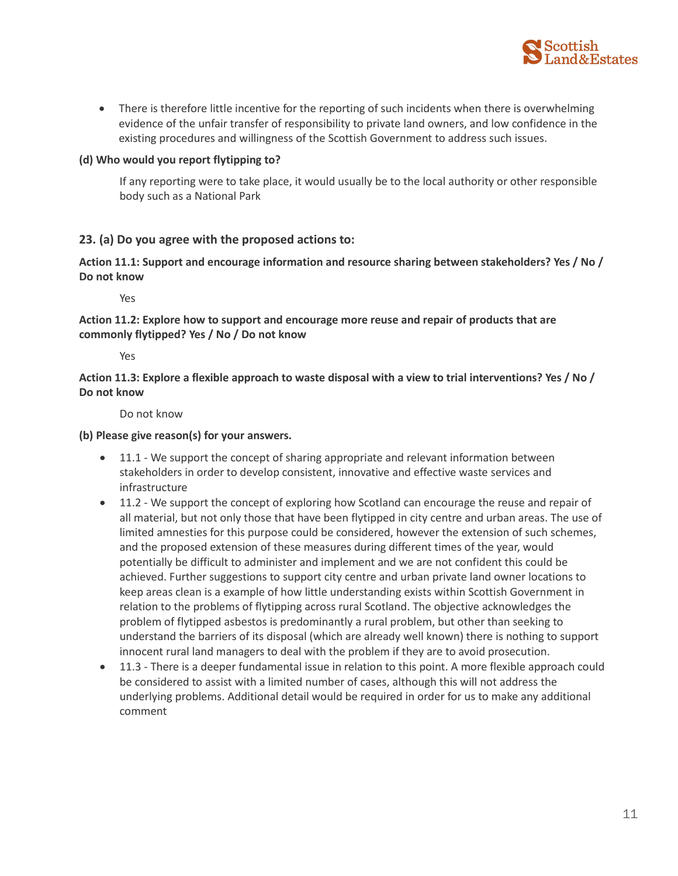

• There is therefore little incentive for the reporting of such incidents when there is overwhelming evidence of the unfair transfer of responsibility to private land owners, and low confidence in the existing procedures and willingness of the Scottish Government to address such issues.

## **(d) Who would you report flytipping to?**

If any reporting were to take place, it would usually be to the local authority or other responsible body such as a National Park

## **23. (a) Do you agree with the proposed actions to:**

**Action 11.1: Support and encourage information and resource sharing between stakeholders? Yes / No / Do not know**

Yes

## **Action 11.2: Explore how to support and encourage more reuse and repair of products that are commonly flytipped? Yes / No / Do not know**

Yes

**Action 11.3: Explore a flexible approach to waste disposal with a view to trial interventions? Yes / No / Do not know**

Do not know

## **(b) Please give reason(s) for your answers.**

- 11.1 We support the concept of sharing appropriate and relevant information between stakeholders in order to develop consistent, innovative and effective waste services and infrastructure
- 11.2 We support the concept of exploring how Scotland can encourage the reuse and repair of all material, but not only those that have been flytipped in city centre and urban areas. The use of limited amnesties for this purpose could be considered, however the extension of such schemes, and the proposed extension of these measures during different times of the year, would potentially be difficult to administer and implement and we are not confident this could be achieved. Further suggestions to support city centre and urban private land owner locations to keep areas clean is a example of how little understanding exists within Scottish Government in relation to the problems of flytipping across rural Scotland. The objective acknowledges the problem of flytipped asbestos is predominantly a rural problem, but other than seeking to understand the barriers of its disposal (which are already well known) there is nothing to support innocent rural land managers to deal with the problem if they are to avoid prosecution.
- 11.3 There is a deeper fundamental issue in relation to this point. A more flexible approach could be considered to assist with a limited number of cases, although this will not address the underlying problems. Additional detail would be required in order for us to make any additional comment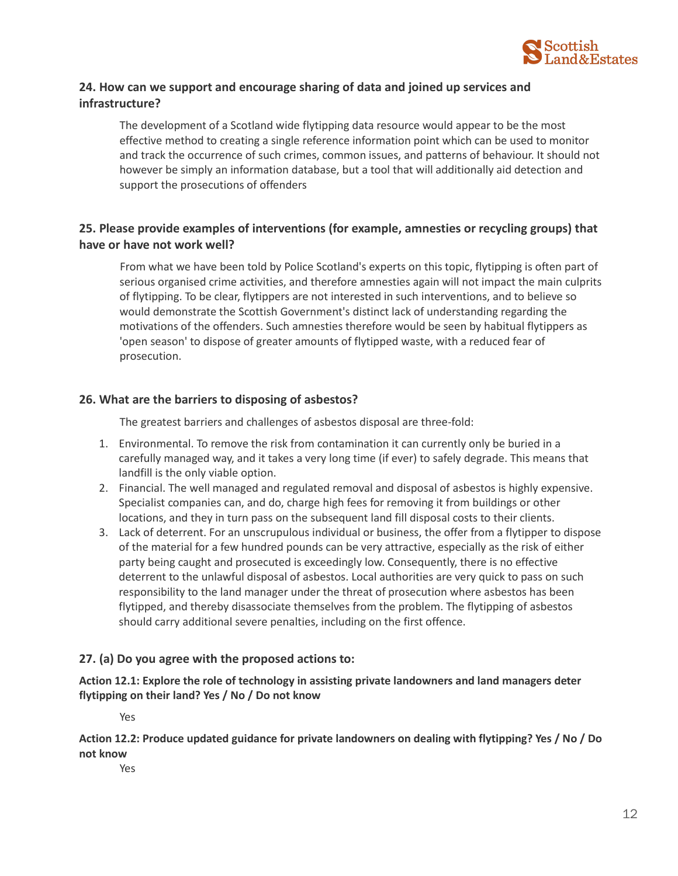

## **24. How can we support and encourage sharing of data and joined up services and infrastructure?**

The development of a Scotland wide flytipping data resource would appear to be the most effective method to creating a single reference information point which can be used to monitor and track the occurrence of such crimes, common issues, and patterns of behaviour. It should not however be simply an information database, but a tool that will additionally aid detection and support the prosecutions of offenders

## **25. Please provide examples of interventions (for example, amnesties or recycling groups) that have or have not work well?**

From what we have been told by Police Scotland's experts on this topic, flytipping is often part of serious organised crime activities, and therefore amnesties again will not impact the main culprits of flytipping. To be clear, flytippers are not interested in such interventions, and to believe so would demonstrate the Scottish Government's distinct lack of understanding regarding the motivations of the offenders. Such amnesties therefore would be seen by habitual flytippers as 'open season' to dispose of greater amounts of flytipped waste, with a reduced fear of prosecution.

## **26. What are the barriers to disposing of asbestos?**

The greatest barriers and challenges of asbestos disposal are three-fold:

- 1. Environmental. To remove the risk from contamination it can currently only be buried in a carefully managed way, and it takes a very long time (if ever) to safely degrade. This means that landfill is the only viable option.
- 2. Financial. The well managed and regulated removal and disposal of asbestos is highly expensive. Specialist companies can, and do, charge high fees for removing it from buildings or other locations, and they in turn pass on the subsequent land fill disposal costs to their clients.
- 3. Lack of deterrent. For an unscrupulous individual or business, the offer from a flytipper to dispose of the material for a few hundred pounds can be very attractive, especially as the risk of either party being caught and prosecuted is exceedingly low. Consequently, there is no effective deterrent to the unlawful disposal of asbestos. Local authorities are very quick to pass on such responsibility to the land manager under the threat of prosecution where asbestos has been flytipped, and thereby disassociate themselves from the problem. The flytipping of asbestos should carry additional severe penalties, including on the first offence.

## **27. (a) Do you agree with the proposed actions to:**

**Action 12.1: Explore the role of technology in assisting private landowners and land managers deter flytipping on their land? Yes / No / Do not know**

Yes

**Action 12.2: Produce updated guidance for private landowners on dealing with flytipping? Yes / No / Do not know**

Yes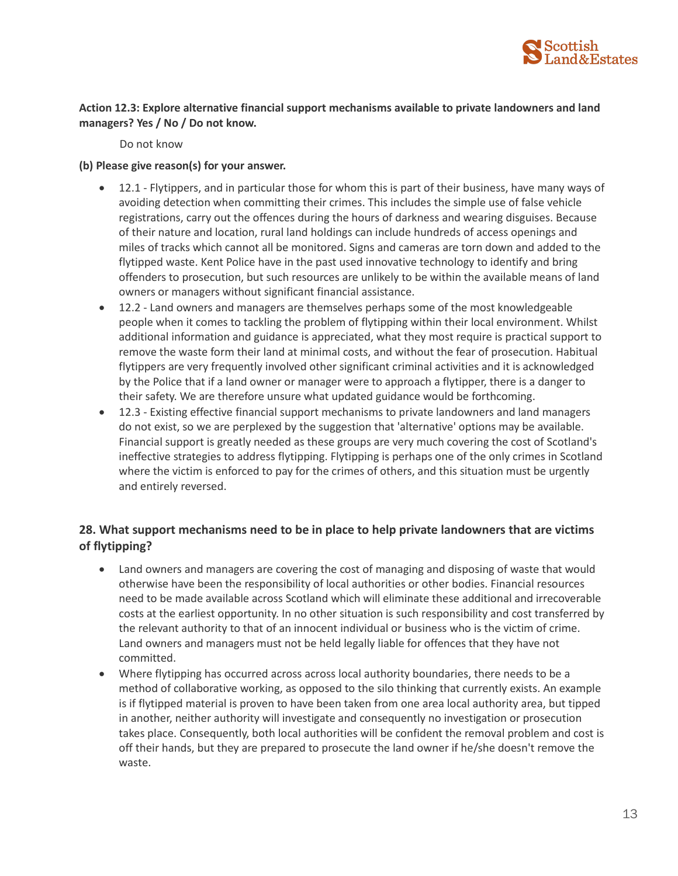

## **Action 12.3: Explore alternative financial support mechanisms available to private landowners and land managers? Yes / No / Do not know.**

Do not know

#### **(b) Please give reason(s) for your answer.**

- 12.1 Flytippers, and in particular those for whom this is part of their business, have many ways of avoiding detection when committing their crimes. This includes the simple use of false vehicle registrations, carry out the offences during the hours of darkness and wearing disguises. Because of their nature and location, rural land holdings can include hundreds of access openings and miles of tracks which cannot all be monitored. Signs and cameras are torn down and added to the flytipped waste. Kent Police have in the past used innovative technology to identify and bring offenders to prosecution, but such resources are unlikely to be within the available means of land owners or managers without significant financial assistance.
- 12.2 Land owners and managers are themselves perhaps some of the most knowledgeable people when it comes to tackling the problem of flytipping within their local environment. Whilst additional information and guidance is appreciated, what they most require is practical support to remove the waste form their land at minimal costs, and without the fear of prosecution. Habitual flytippers are very frequently involved other significant criminal activities and it is acknowledged by the Police that if a land owner or manager were to approach a flytipper, there is a danger to their safety. We are therefore unsure what updated guidance would be forthcoming.
- 12.3 Existing effective financial support mechanisms to private landowners and land managers do not exist, so we are perplexed by the suggestion that 'alternative' options may be available. Financial support is greatly needed as these groups are very much covering the cost of Scotland's ineffective strategies to address flytipping. Flytipping is perhaps one of the only crimes in Scotland where the victim is enforced to pay for the crimes of others, and this situation must be urgently and entirely reversed.

## **28. What support mechanisms need to be in place to help private landowners that are victims of flytipping?**

- Land owners and managers are covering the cost of managing and disposing of waste that would otherwise have been the responsibility of local authorities or other bodies. Financial resources need to be made available across Scotland which will eliminate these additional and irrecoverable costs at the earliest opportunity. In no other situation is such responsibility and cost transferred by the relevant authority to that of an innocent individual or business who is the victim of crime. Land owners and managers must not be held legally liable for offences that they have not committed.
- Where flytipping has occurred across across local authority boundaries, there needs to be a method of collaborative working, as opposed to the silo thinking that currently exists. An example is if flytipped material is proven to have been taken from one area local authority area, but tipped in another, neither authority will investigate and consequently no investigation or prosecution takes place. Consequently, both local authorities will be confident the removal problem and cost is off their hands, but they are prepared to prosecute the land owner if he/she doesn't remove the waste.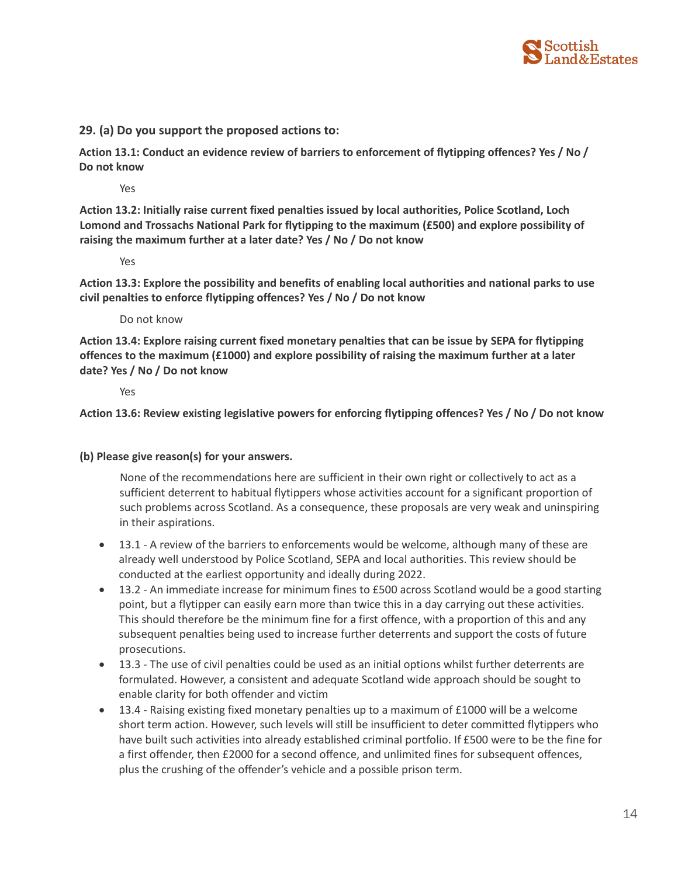

## **29. (a) Do you support the proposed actions to:**

**Action 13.1: Conduct an evidence review of barriers to enforcement of flytipping offences? Yes / No / Do not know**

Yes

**Action 13.2: Initially raise current fixed penalties issued by local authorities, Police Scotland, Loch Lomond and Trossachs National Park for flytipping to the maximum (£500) and explore possibility of raising the maximum further at a later date? Yes / No / Do not know**

Yes

**Action 13.3: Explore the possibility and benefits of enabling local authorities and national parks to use civil penalties to enforce flytipping offences? Yes / No / Do not know**

Do not know

**Action 13.4: Explore raising current fixed monetary penalties that can be issue by SEPA for flytipping offences to the maximum (£1000) and explore possibility of raising the maximum further at a later date? Yes / No / Do not know**

Yes

**Action 13.6: Review existing legislative powers for enforcing flytipping offences? Yes / No / Do not know**

#### **(b) Please give reason(s) for your answers.**

None of the recommendations here are sufficient in their own right or collectively to act as a sufficient deterrent to habitual flytippers whose activities account for a significant proportion of such problems across Scotland. As a consequence, these proposals are very weak and uninspiring in their aspirations.

- 13.1 A review of the barriers to enforcements would be welcome, although many of these are already well understood by Police Scotland, SEPA and local authorities. This review should be conducted at the earliest opportunity and ideally during 2022.
- 13.2 An immediate increase for minimum fines to £500 across Scotland would be a good starting point, but a flytipper can easily earn more than twice this in a day carrying out these activities. This should therefore be the minimum fine for a first offence, with a proportion of this and any subsequent penalties being used to increase further deterrents and support the costs of future prosecutions.
- 13.3 The use of civil penalties could be used as an initial options whilst further deterrents are formulated. However, a consistent and adequate Scotland wide approach should be sought to enable clarity for both offender and victim
- 13.4 Raising existing fixed monetary penalties up to a maximum of £1000 will be a welcome short term action. However, such levels will still be insufficient to deter committed flytippers who have built such activities into already established criminal portfolio. If £500 were to be the fine for a first offender, then £2000 for a second offence, and unlimited fines for subsequent offences, plus the crushing of the offender's vehicle and a possible prison term.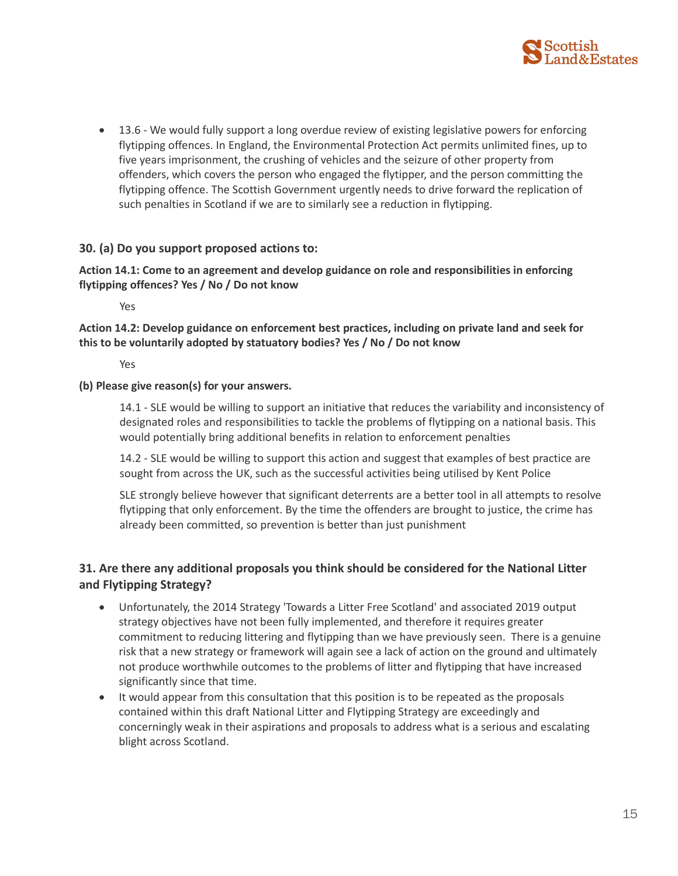

• 13.6 - We would fully support a long overdue review of existing legislative powers for enforcing flytipping offences. In England, the Environmental Protection Act permits unlimited fines, up to five years imprisonment, the crushing of vehicles and the seizure of other property from offenders, which covers the person who engaged the flytipper, and the person committing the flytipping offence. The Scottish Government urgently needs to drive forward the replication of such penalties in Scotland if we are to similarly see a reduction in flytipping.

## **30. (a) Do you support proposed actions to:**

## **Action 14.1: Come to an agreement and develop guidance on role and responsibilities in enforcing flytipping offences? Yes / No / Do not know**

Yes

**Action 14.2: Develop guidance on enforcement best practices, including on private land and seek for this to be voluntarily adopted by statuatory bodies? Yes / No / Do not know**

Yes

#### **(b) Please give reason(s) for your answers.**

14.1 - SLE would be willing to support an initiative that reduces the variability and inconsistency of designated roles and responsibilities to tackle the problems of flytipping on a national basis. This would potentially bring additional benefits in relation to enforcement penalties

14.2 - SLE would be willing to support this action and suggest that examples of best practice are sought from across the UK, such as the successful activities being utilised by Kent Police

SLE strongly believe however that significant deterrents are a better tool in all attempts to resolve flytipping that only enforcement. By the time the offenders are brought to justice, the crime has already been committed, so prevention is better than just punishment

## **31. Are there any additional proposals you think should be considered for the National Litter and Flytipping Strategy?**

- Unfortunately, the 2014 Strategy 'Towards a Litter Free Scotland' and associated 2019 output strategy objectives have not been fully implemented, and therefore it requires greater commitment to reducing littering and flytipping than we have previously seen. There is a genuine risk that a new strategy or framework will again see a lack of action on the ground and ultimately not produce worthwhile outcomes to the problems of litter and flytipping that have increased significantly since that time.
- It would appear from this consultation that this position is to be repeated as the proposals contained within this draft National Litter and Flytipping Strategy are exceedingly and concerningly weak in their aspirations and proposals to address what is a serious and escalating blight across Scotland.